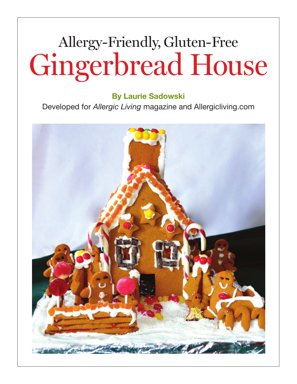# Allergy-Friendly, Gluten-Free Gingerbread House

## **By Laurie Sadowski**

Developed for *Allergic Living* magazine and Allergicliving.com

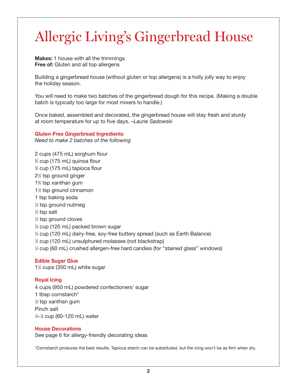**Makes:** 1 house with all the trimmings **Free of:** Gluten and all top allergens

Building a gingerbread house (without gluten or top allergens) is a holly jolly way to enjoy the holiday season.

You will need to make two batches of the gingerbread dough for this recipe. (Making a double batch is typically too large for most mixers to handle.)

Once baked, assembled and decorated, the gingerbread house will stay fresh and sturdy at room temperature for up to five days. *–Laurie Sadowski*

#### **Gluten-Free Gingerbread Ingredients**

*Need to make 2 batches of the following*

 cups (475 mL) sorghum flour ⁄4 cup (175 mL) quinoa flour ⁄4 cup (175 mL) tapioca flour ⁄2 tsp ground ginger ⁄4 tsp xanthan gum ⁄2 tsp ground cinnamon tsp baking soda ⁄2 tsp ground nutmeg ⁄2 tsp salt ⁄4 tsp ground cloves ⁄2 cup (120 mL) packed brown sugar ⁄2 cup (120 mL) dairy-free, soy-free buttery spread (such as Earth Balance) ⁄2 cup (120 mL) unsulphured molasses (not blackstrap) ⁄4 cup (60 mL) crushed allergen-free hard candies (for "stained glass" windows)

## **Edible Sugar Glue**

1<sup>1/2</sup> cups (350 mL) white sugar

## **Royal Icing**

 cups (950 mL) powdered confectioners' sugar tbsp cornstarch\* ⁄2 tsp xanthan gum Pinch salt ⁄4-1 ⁄2 cup (60-120 mL) water

#### **House Decorations**

See page 6 for allergy-friendly decorating ideas

\*Cornstarch produces the best results. Tapioca starch can be substituted, but the icing won't be as firm when dry.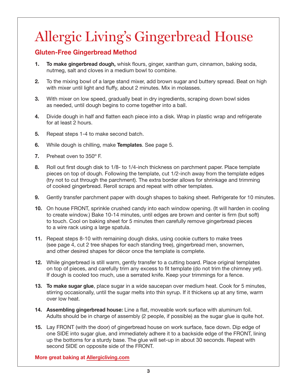## **Gluten-Free Gingerbread Method**

- **1. To make gingerbread dough,** whisk flours, ginger, xanthan gum, cinnamon, baking soda, nutmeg, salt and cloves in a medium bowl to combine.
- **2.** To the mixing bowl of a large stand mixer, add brown sugar and buttery spread. Beat on high with mixer until light and fluffy, about 2 minutes. Mix in molasses.
- **3.** With mixer on low speed, gradually beat in dry ingredients, scraping down bowl sides as needed, until dough begins to come together into a ball.
- **4.** Divide dough in half and flatten each piece into a disk. Wrap in plastic wrap and refrigerate for at least 2 hours.
- **5.** Repeat steps 1-4 to make second batch.
- **6.** While dough is chilling, make **Templates**. See page 5.
- **7.** Preheat oven to 350º F.
- **8.** Roll out first dough disk to 1/8- to 1/4-inch thickness on parchment paper. Place template pieces on top of dough. Following the template, cut 1/2-inch away from the template edges (try not to cut through the parchment). The extra border allows for shrinkage and trimming of cooked gingerbread. Reroll scraps and repeat with other templates.
- **9.** Gently transfer parchment paper with dough shapes to baking sheet. Refrigerate for 10 minutes.
- **10.** On house FRONT, sprinkle crushed candy into each window opening. (It will harden in cooling to create window.) Bake 10-14 minutes, until edges are brown and center is firm (but soft) to touch. Cool on baking sheet for 5 minutes then carefully remove gingerbread pieces to a wire rack using a large spatula.
- **11.** Repeat steps 8-10 with remaining dough disks, using cookie cutters to make trees (see page 4, cut 2 tree shapes for each standing tree), gingerbread men, snowmen, and other desired shapes for décor once the template is complete.
- **12.** While gingerbread is still warm, gently transfer to a cutting board. Place original templates on top of pieces, and carefully trim any excess to fit template (do not trim the chimney yet). If dough is cooled too much, use a serrated knife. Keep your trimmings for a fence.
- **13. To make sugar glue**, place sugar in a wide saucepan over medium heat. Cook for 5 minutes, stirring occasionally, until the sugar melts into thin syrup. If it thickens up at any time, warm over low heat.
- **14. Assembling gingerbread house:** Line a flat, moveable work surface with aluminum foil. Adults should be in charge of assembly (2 people, if possible) as the sugar glue is quite hot.
- **15.** Lay FRONT (with the door) of gingerbread house on work surface, face down. Dip edge of one SIDE into sugar glue, and immediately adhere it to a backside edge of the FRONT, lining up the bottoms for a sturdy base. The glue will set-up in about 30 seconds. Repeat with second SIDE on opposite side of the FRONT.

**More great baking at [Allergicliving.com](http://allergicliving.com/index.php/2012/11/30/allergy-friendly-holiday-baking/)**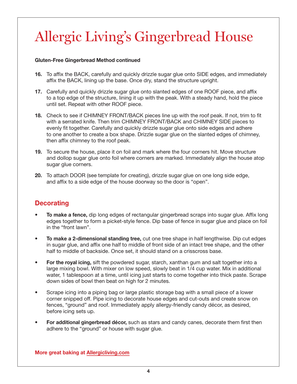## **Gluten-Free Gingerbread Method continued**

- **16.** To affix the BACK, carefully and quickly drizzle sugar glue onto SIDE edges, and immediately affix the BACK, lining up the base. Once dry, stand the structure upright.
- **17.** Carefully and quickly drizzle sugar glue onto slanted edges of one ROOF piece, and affix to a top edge of the structure, lining it up with the peak. With a steady hand, hold the piece until set. Repeat with other ROOF piece.
- **18.** Check to see if CHIMNEY FRONT/BACK pieces line up with the roof peak. If not, trim to fit with a serrated knife. Then trim CHIMNEY FRONT/BACK and CHIMNEY SIDE pieces to evenly fit together. Carefully and quickly drizzle sugar glue onto side edges and adhere to one another to create a box shape. Drizzle sugar glue on the slanted edges of chimney, then affix chimney to the roof peak.
- **19.** To secure the house, place it on foil and mark where the four corners hit. Move structure and dollop sugar glue onto foil where corners are marked. Immediately align the house atop sugar glue corners.
- **20.** To attach DOOR (see template for creating), drizzle sugar glue on one long side edge, and affix to a side edge of the house doorway so the door is "open".

## **Decorating**

- **To make a fence,** dip long edges of rectangular gingerbread scraps into sugar glue. Affix long edges together to form a picket-style fence. Dip base of fence in sugar glue and place on foil in the "front lawn".
- **To make a 2-dimensional standing tree,** cut one tree shape in half lengthwise. Dip cut edges in sugar glue, and affix one half to middle of front side of an intact tree shape, and the other half to middle of backside. Once set, it should stand on a crisscross base.
- **For the royal icing,** sift the powdered sugar, starch, xanthan gum and salt together into a large mixing bowl. With mixer on low speed, slowly beat in 1/4 cup water. Mix in additional water, 1 tablespoon at a time, until icing just starts to come together into thick paste. Scrape down sides of bowl then beat on high for 2 minutes.
- Scrape icing into a piping bag or large plastic storage bag with a small piece of a lower corner snipped off. Pipe icing to decorate house edges and cut-outs and create snow on fences, "ground" and roof. Immediately apply allergy-friendly candy décor, as desired, before icing sets up.
- **For additional gingerbread décor,** such as stars and candy canes, decorate them first then adhere to the "ground" or house with sugar glue.

**More great baking at [Allergicliving.com](http://allergicliving.com/index.php/2012/11/30/allergy-friendly-holiday-baking/)**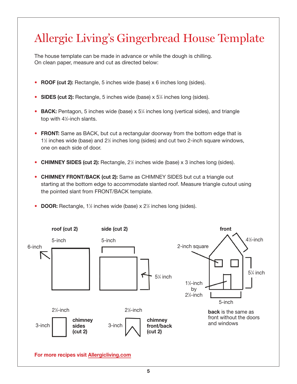## Allergic Living s Gingerbread House Template '

The house template can be made in advance or while the dough is chilling. On clean paper, measure and cut as directed below:

- **ROOF (cut 2):** Rectangle, 5 inches wide (base) x 6 inches long (sides).
- **SIDES (cut 2):** Rectangle, 5 inches wide (base) x 5<sup>1/4</sup> inches long (sides).
- **BACK:** Pentagon, 5 inches wide (base) x 5<sup>1/2</sup> inches long (vertical sides), and triangle top with 41 ⁄2-inch slants.
- **FRONT:** Same as BACK, but cut a rectangular doorway from the bottom edge that is 1<sup>1</sup>/<sub>2</sub> inches wide (base) and 2<sup>1</sup>/<sub>2</sub> inches long (sides) and cut two 2-inch square windows, one on each side of door.
- **CHIMNEY SIDES (cut 2):** Rectangle, 2<sup>1/2</sup> inches wide (base) x 3 inches long (sides).
- **CHIMNEY FRONT/BACK (cut 2):** Same as CHIMNEY SIDES but cut a triangle out starting at the bottom edge to accommodate slanted roof. Measure triangle cutout using the pointed slant from FRONT/BACK template.
- **DOOR:** Rectangle, 1<sup>1/2</sup> inches wide (base) x 2<sup>1</sup>/<sub>2</sub> inches long (sides).